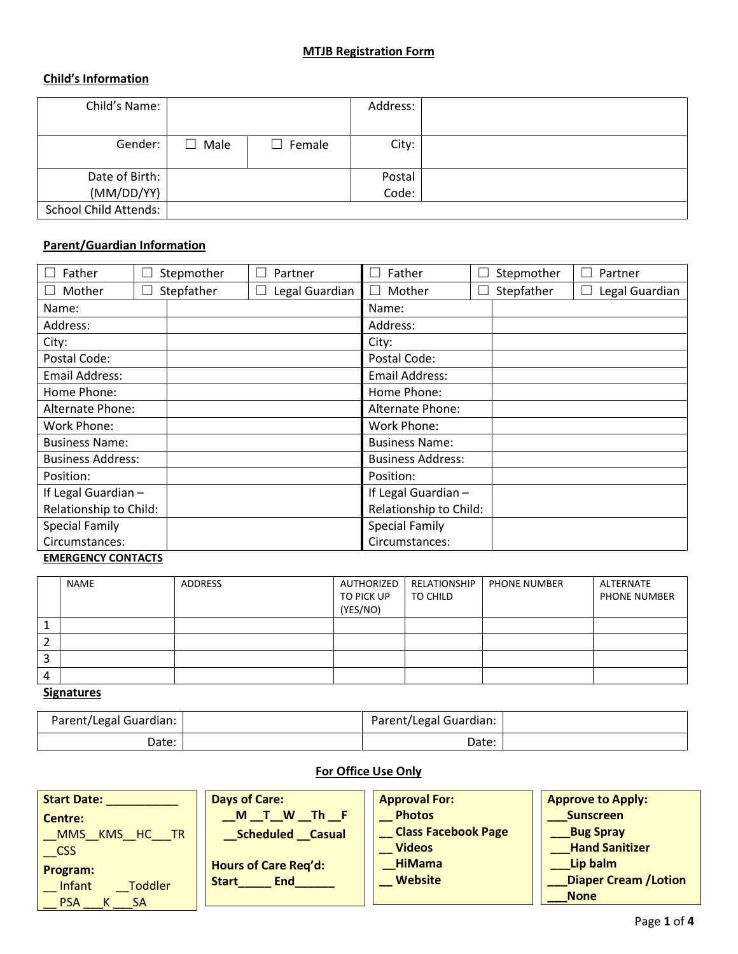#### **MTJB Registration Form**

# **Child's Information**

| Child's Name:                |                 |               | Address: |  |
|------------------------------|-----------------|---------------|----------|--|
| Gender:                      | Male<br>$\perp$ | $\Box$ Female | City:    |  |
| Date of Birth:               |                 |               | Postal   |  |
| (MM/DD/YY)                   |                 |               | Code:    |  |
| <b>School Child Attends:</b> |                 |               |          |  |

# **Parent/Guardian Information**

| Father<br>Stepmother     | Partner        | Father<br>$\Box$         |  | Stepmother | Partner<br>$\mathbf{I}$   |
|--------------------------|----------------|--------------------------|--|------------|---------------------------|
| Stepfather<br>Mother     | Legal Guardian | $\Box$ Mother            |  | Stepfather | Legal Guardian<br>$\perp$ |
| Name:                    |                | Name:                    |  |            |                           |
| Address:                 |                | Address:                 |  |            |                           |
| City:                    |                | City:                    |  |            |                           |
| Postal Code:             |                | Postal Code:             |  |            |                           |
| Email Address:           |                | <b>Email Address:</b>    |  |            |                           |
| Home Phone:              |                | Home Phone:              |  |            |                           |
| Alternate Phone:         |                | Alternate Phone:         |  |            |                           |
| Work Phone:              |                | Work Phone:              |  |            |                           |
| <b>Business Name:</b>    |                | <b>Business Name:</b>    |  |            |                           |
| <b>Business Address:</b> |                | <b>Business Address:</b> |  |            |                           |
| Position:                |                | Position:                |  |            |                           |
| If Legal Guardian -      |                | If Legal Guardian -      |  |            |                           |
| Relationship to Child:   |                | Relationship to Child:   |  |            |                           |
| <b>Special Family</b>    |                | <b>Special Family</b>    |  |            |                           |
| Circumstances:           |                | Circumstances:           |  |            |                           |

# **EMERGENCY CONTACTS**

|        | NAME | <b>ADDRESS</b> | AUTHORIZED<br>TO PICK UP<br>(YES/NO) | RELATIONSHIP<br>TO CHILD | <b>PHONE NUMBER</b> | ALTERNATE<br>PHONE NUMBER |
|--------|------|----------------|--------------------------------------|--------------------------|---------------------|---------------------------|
|        |      |                |                                      |                          |                     |                           |
| ◠      |      |                |                                      |                          |                     |                           |
| ∍<br>э |      |                |                                      |                          |                     |                           |
| 4      |      |                |                                      |                          |                     |                           |

# **Signatures**

| Parent/Legal Guardian: | Parent/Legal Guardian: |  |
|------------------------|------------------------|--|
| Date:                  | Date:                  |  |

# **For Office Use Only**

| <b>Start Date:</b><br>Centre:<br>KMS HC<br><b>TR</b><br><b>MMS</b><br><b>CSS</b><br>Program:<br>Infant<br>Toddler<br><b>PSA</b><br>SA | <b>Days of Care:</b><br>$\blacksquare$ The $\blacksquare$<br>W<br>M<br><b>Scheduled Casual</b><br><b>Hours of Care Reg'd:</b><br><b>End</b><br><b>Start</b> | <b>Approval For:</b><br><b>Photos</b><br><b>Class Facebook Page</b><br><b>Videos</b><br><b>HiMama</b><br><b>Website</b> | <b>Approve to Apply:</b><br><b>Sunscreen</b><br><b>Bug Spray</b><br><b>Hand Sanitizer</b><br>Lip balm<br><b>Diaper Cream / Lotion</b><br><b>None</b> |
|---------------------------------------------------------------------------------------------------------------------------------------|-------------------------------------------------------------------------------------------------------------------------------------------------------------|-------------------------------------------------------------------------------------------------------------------------|------------------------------------------------------------------------------------------------------------------------------------------------------|
|---------------------------------------------------------------------------------------------------------------------------------------|-------------------------------------------------------------------------------------------------------------------------------------------------------------|-------------------------------------------------------------------------------------------------------------------------|------------------------------------------------------------------------------------------------------------------------------------------------------|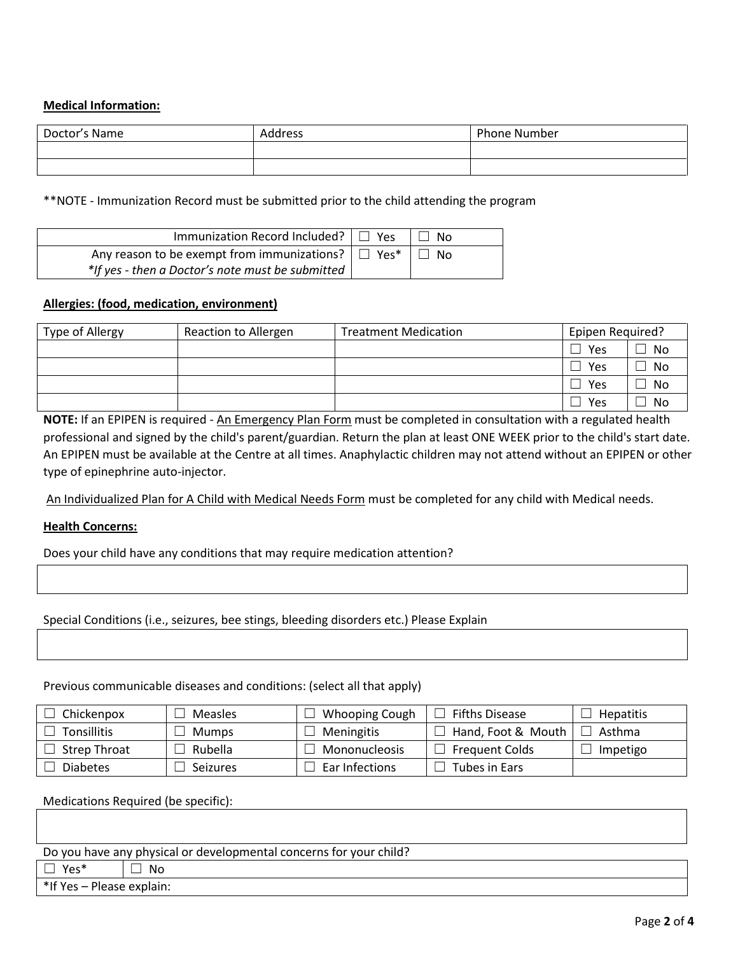# **Medical Information:**

| Doctor's Name | <b>Address</b> | <b>Phone Number</b> |
|---------------|----------------|---------------------|
|               |                |                     |
|               |                |                     |

\*\*NOTE - Immunization Record must be submitted prior to the child attending the program

| Immunization Record Included? $\Box$ Yes                | ∣ I No |
|---------------------------------------------------------|--------|
| Any reason to be exempt from immunizations? $\Box$ Yes* | ∣ I No |
| *If yes - then a Doctor's note must be submitted        |        |

#### **Allergies: (food, medication, environment)**

| Type of Allergy | Reaction to Allergen | <b>Treatment Medication</b> | Epipen Required? |    |
|-----------------|----------------------|-----------------------------|------------------|----|
|                 |                      |                             | Yes              | No |
|                 |                      |                             | Yes              | No |
|                 |                      |                             | Yes              | No |
|                 |                      |                             | Yes              | No |

**NOTE:** If an EPIPEN is required - An Emergency Plan Form must be completed in consultation with a regulated health professional and signed by the child's parent/guardian. Return the plan at least ONE WEEK prior to the child's start date. An EPIPEN must be available at the Centre at all times. Anaphylactic children may not attend without an EPIPEN or other type of epinephrine auto-injector.

An Individualized Plan for A Child with Medical Needs Form must be completed for any child with Medical needs.

#### **Health Concerns:**

Does your child have any conditions that may require medication attention?

# Special Conditions (i.e., seizures, bee stings, bleeding disorders etc.) Please Explain

Previous communicable diseases and conditions: (select all that apply)

| Chickenpox          | <b>Measles</b>  | <b>Whooping Cough</b> | <b>Fifths Disease</b> | <b>Hepatitis</b> |
|---------------------|-----------------|-----------------------|-----------------------|------------------|
| Tonsillitis         | <b>Mumps</b>    | <b>Meningitis</b>     | Hand, Foot & Mouth    | Asthma           |
| <b>Strep Throat</b> | Rubella         | Mononucleosis         | <b>Frequent Colds</b> | Impetigo         |
| <b>Diabetes</b>     | <b>Seizures</b> | Ear Infections        | Tubes in Ears         |                  |

Medications Required (be specific):

Do you have any physical or developmental concerns for your child?

 $\Box$  Yes\*  $\Box$  No

\*If Yes – Please explain: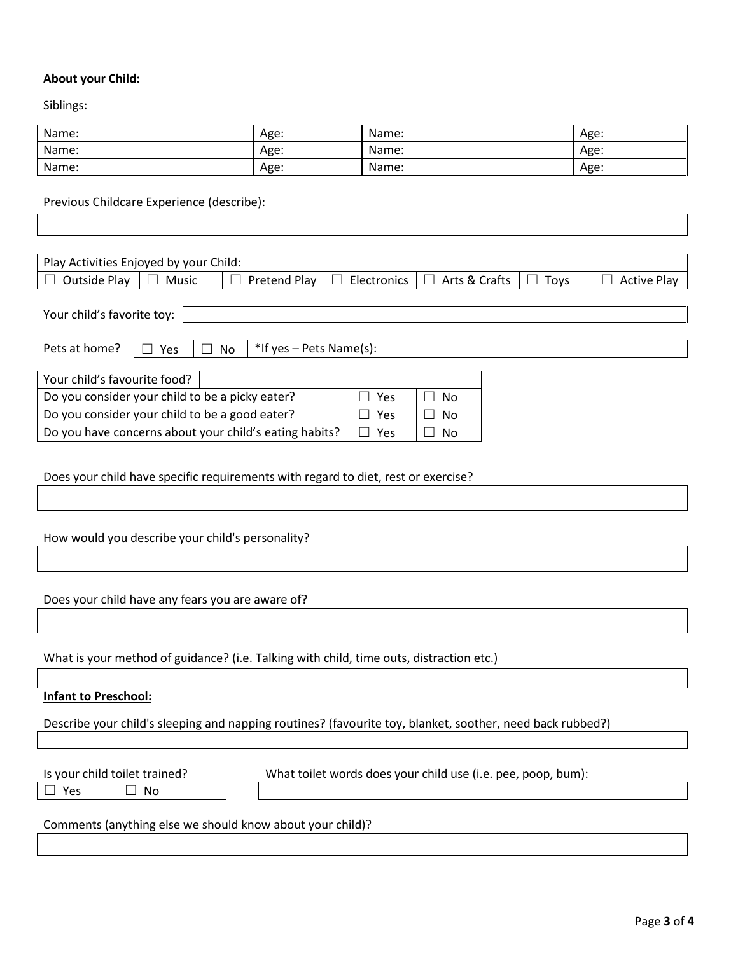#### **About your Child:**

Siblings:

| Name: | Age: | Name: | Age: |
|-------|------|-------|------|
| Name: | Age: | Name: | Age: |
| Name: | Age: | Name: | Age: |

Previous Childcare Experience (describe):

| Play Activities Enjoyed by your Child: |       |              |             |                            |             |                    |
|----------------------------------------|-------|--------------|-------------|----------------------------|-------------|--------------------|
| Outside Play                           | Music | Pretend Play | Electronics | <sup>1</sup> Arts & Crafts | <b>Tovs</b> | <b>Active Play</b> |

Your child's favorite toy:

|  | Pets at home? |  |
|--|---------------|--|
|  |               |  |

 $\Box$  Yes  $\Box$  No  $\parallel$  \*If yes – Pets Name(s):

| Your child's favourite food?                           |               |        |
|--------------------------------------------------------|---------------|--------|
| Do you consider your child to be a picky eater?        | Yes           | No.    |
| Do you consider your child to be a good eater?         | l l Yes       | No.    |
| Do you have concerns about your child's eating habits? | $\vert$   Yes | ∣ I No |

Does your child have specific requirements with regard to diet, rest or exercise?

How would you describe your child's personality?

Does your child have any fears you are aware of?

What is your method of guidance? (i.e. Talking with child, time outs, distraction etc.)

#### **Infant to Preschool:**

Describe your child's sleeping and napping routines? (favourite toy, blanket, soother, need back rubbed?)

☐ Yes ☐ No

Is your child toilet trained? What toilet words does your child use (i.e. pee, poop, bum):

Comments (anything else we should know about your child)?